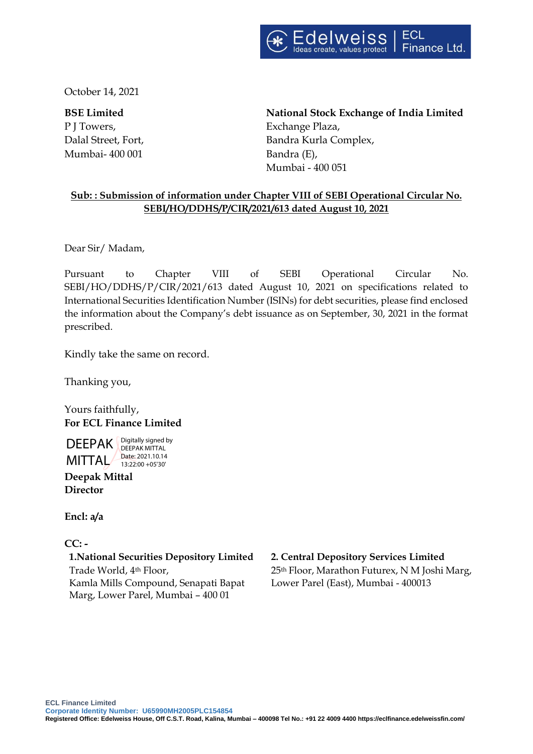

October 14, 2021

P J Towers, Exchange Plaza, Mumbai- 400 001 Bandra (E),

**BSE Limited National Stock Exchange of India Limited** Dalal Street, Fort, Bandra Kurla Complex, Mumbai - 400 051

## **Sub: : Submission of information under Chapter VIII of SEBI Operational Circular No. SEBI/HO/DDHS/P/CIR/2021/613 dated August 10, 2021**

Dear Sir/ Madam,

Pursuant to Chapter VIII of SEBI Operational Circular No. SEBI/HO/DDHS/P/CIR/2021/613 dated August 10, 2021 on specifications related to International Securities Identification Number (ISINs) for debt securities, please find enclosed the information about the Company's debt issuance as on September, 30, 2021 in the format prescribed.

Kindly take the same on record.

Thanking you,

Yours faithfully, **For ECL Finance Limited** 

DEEPAK **Digitally signed by** MITTAL DEEPAK MITTAL Date: 2021.10.14 13:22:00 +05'30'

**Deepak Mittal Director**

## **Encl: a/a**

## **CC: -**

**1.National Securities Depository Limited 2. Central Depository Services Limited** Trade World, 4th Floor, Kamla Mills Compound, Senapati Bapat Marg, Lower Parel, Mumbai – 400 01

25th Floor, Marathon Futurex, N M Joshi Marg, Lower Parel (East), Mumbai - 400013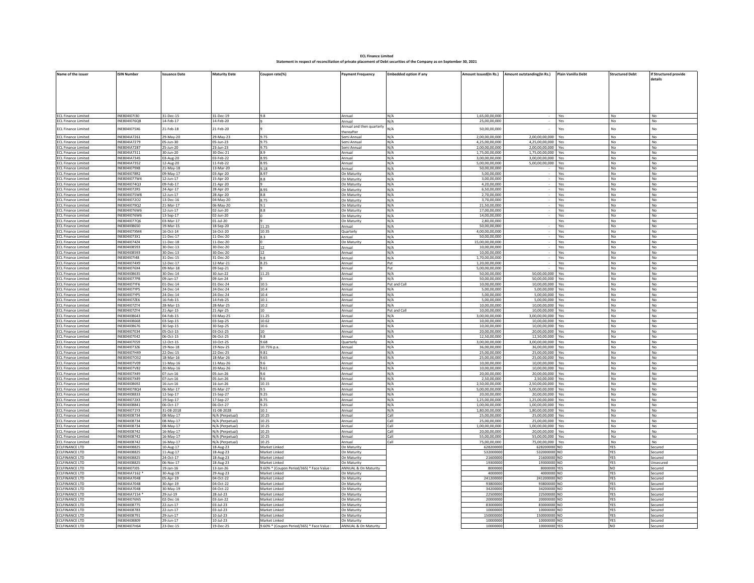| <b>ECL Finance Limited</b>                                                                                             |
|------------------------------------------------------------------------------------------------------------------------|
| Statement in respect of reconciliation of private placement of Debt securities of the Company as on September 30, 2021 |

| Name of the issuer                                       | <b>ISIN Number</b>           | <b>Issuance Date</b>         | <b>Maturity Date</b>               | Coupon rate(%)                             | <b>Payment Frequency</b>   | <b>Embedded option if any</b> |                                  | Amount Issued(In Rs.) Amount outstanding(In Rs.) | Plain Vanilla Debt<br><b>Structured Debt</b> | If Structured provide |
|----------------------------------------------------------|------------------------------|------------------------------|------------------------------------|--------------------------------------------|----------------------------|-------------------------------|----------------------------------|--------------------------------------------------|----------------------------------------------|-----------------------|
|                                                          |                              |                              |                                    |                                            |                            |                               |                                  |                                                  |                                              | details               |
|                                                          |                              |                              |                                    |                                            |                            |                               |                                  |                                                  |                                              |                       |
|                                                          |                              |                              |                                    |                                            |                            |                               |                                  |                                                  |                                              |                       |
|                                                          |                              |                              |                                    |                                            |                            |                               |                                  |                                                  |                                              |                       |
|                                                          |                              |                              |                                    |                                            |                            |                               |                                  |                                                  |                                              |                       |
|                                                          |                              |                              |                                    |                                            |                            |                               |                                  |                                                  |                                              |                       |
| <b>ECL Finance Limited</b><br><b>ECL Finance Limited</b> | INF804I07I30<br>INE8041076Q8 | 31-Dec-15<br>14-Feb-17       | 31-Dec-19<br>14-Feb-20             | 9.8                                        | Annual<br>Annual           | N/A<br>N/A                    | 1.65.00.00.000<br>25.00.00.000   |                                                  | <b>Yes</b><br>No<br>No<br>Yes                | No<br>No              |
|                                                          |                              |                              |                                    |                                            | Annual and then quarterly  |                               |                                  |                                                  |                                              |                       |
| <b>ECL Finance Limited</b>                               | INE804I075X6                 | 21-Feb-18                    | 21-Feb-20                          |                                            | thereafter                 | N/A                           | 50.00.00.000                     | ٠                                                | No<br>Yes                                    | No                    |
| <b>FCI Finance Limited</b>                               | INE804IA7261                 | 29-May-20                    | 29-May-23                          | 9.75                                       | Semi Annual                | N/A                           | 2,00,00,00,000                   | 2,00,00,00,000 Yes                               | No                                           | No                    |
| <b>ECL Finance Limited</b>                               | INE804IA7279<br>INE804IA7287 | 05-Jun-30                    | 05-Jun-23                          | 9.75<br>9.75                               | Semi Annua                 | N/A<br>N/A                    | 4,25,00,00,000                   | 4,25,00,00,000 Yes                               | No                                           | No                    |
| <b>ECL Finance Limited</b><br><b>ECL Finance Limited</b> | INE804IA7311                 | 25-Jun-20<br>30-Jun-20       | 23-Jun-23<br>30-Dec-21             | 8.9                                        | Semi Annual<br>Annual      | N/A                           | 2.00.00.00.000<br>1,75,00,00,000 | 2.00.00.00.000 Yes<br>1,75,00,00,000 Yes         | No.<br>No                                    | No<br>No              |
| <b>ECL Finance Limited</b>                               | INE804IA7345                 | 03-Aug-20                    | 03-Feb-22                          | 8.95                                       | Annual                     | N/A                           | 3.00.00.00.000                   | 3.00.00.00.000 Yes                               | No                                           | No                    |
| <b>ECL Finance Limited</b>                               | INE804IA7352                 | 12-Aug-20                    | 11-Feb-22                          | 8.95                                       | Annual                     | N/A                           | 5,00,00,00,000                   | 5,00,00,00,000 Yes                               | No                                           | No                    |
| <b>ECL Finance Limited</b>                               | INE804I079X8                 | 21-May-18                    | 13-Mar-20                          | 9.18                                       | Annual                     | N/A                           | 50,00,00,000                     |                                                  | Yes<br>No                                    | No                    |
| <b>ECL Finance Limited</b><br><b>ECL Finance Limited</b> | INE8041078R2<br>INE8041077W4 | 09-May-17<br>12-Jun-17       | 03-Apr-20<br>15-Apr-20             | 8.97<br>8.8                                | On Maturity<br>On Maturity | N/A<br>N/A                    | 5.00.00.000<br>3,00,00,000       |                                                  | <b>Yes</b><br>No<br>Yes<br>No                | No<br>No              |
| <b>ECL Finance Limited</b>                               | INE8041074Q3                 | 09-Feb-17                    | 21-Apr-20                          | 9                                          | On Maturity                | N/A                           | 4.20.00.000                      | $\sim$                                           | Yes<br>No.                                   | No                    |
| <b>ECL Finance Limited</b>                               | INE804I072R5                 | 24-Apr-17                    | 28-Apr-20                          | 8.95                                       | On Maturity                | N/A                           | 6,50,00,000                      |                                                  | Yes<br>No                                    | No                    |
| <b>ECL Finance Limited</b>                               | INE804I075W8                 | 12-Jun-17                    | 28-Apr-20                          | 8.8                                        | On Maturity                | N/A                           | 2,70,00,000                      |                                                  | Yes<br>No                                    | No                    |
| <b>ECL Finance Limited</b>                               | INE804107202                 | 13-Dec-16                    | 04-May-20                          | 8.75                                       | On Maturity                | N/A                           | 3.70.00.000                      | $\sim$                                           | <b>Yes</b><br>No.                            | No                    |
| <b>ECL Finance Limited</b><br><b>ECL Finance Limited</b> | INE8041079Q2<br>INE8041076W6 | 21-Mar-17<br>$12$ -Jun- $17$ | 06-May-20<br>02-Jun-20             | 9.1<br>8.8                                 | On Maturity<br>On Maturity | N/A<br>N/A                    | 21,50,00,000<br>17.00.00.000     | $\overline{\phantom{a}}$<br>$\sim$               | Yes<br>No<br>l Yes<br>No                     | No<br>No              |
| <b>ECL Finance Limited</b>                               | INE804I076W6                 | 13-Sep-17                    | 02-Jun-20                          |                                            | On Maturity                | N/A                           | 14,00,00,000                     |                                                  | Yes<br>No                                    | No                    |
| <b>ECL Finance Limited</b>                               | INE8041077Q6                 | 03-Mar-17                    | 01-Jul-20                          |                                            | On Maturity                | N/A                           | 2.80.00.000                      |                                                  | Yes<br><b>No</b>                             | No                    |
| <b>ECL Finance Limited</b>                               | <b>INF804I08650</b>          | 19-Mar-15                    | 18-Sep-20                          | 11.25                                      | Annual                     | N/A                           | 50,00,00,000                     |                                                  | Yes<br>No                                    | No                    |
| <b>ECL Finance Limited</b>                               | INE804I07XM4                 | 16-Oct-14                    | 16-Oct-20                          | 10.35                                      | Quarterly                  | N/A                           | 4.00.00.00.000                   |                                                  | Yes<br><b>No</b>                             | No                    |
| <b>ECL Finance Limited</b><br><b>ECL Finance Limited</b> | INF804I073X1<br>INE804I074Z4 | 11-Dec-17<br>$11-Dec-18$     | 11-Dec-20<br>11-Dec-20             | 83<br>$\mathbf{0}$                         | Annual<br>On Maturity      | N/A<br>N/A                    | 50.00.00.000<br>15,00,00,00,000  |                                                  | <b>Yes</b><br>No.<br><b>Yes</b><br><b>No</b> | No<br>No              |
| <b>ECL Finance Limited</b>                               | INE804108593                 | 30-Dec-13                    | 30-Dec-20                          | 12                                         | Annual                     | N/A                           | 10.00.00.000                     |                                                  | Yes<br>No                                    | No                    |
| <b>ECL Finance Limited</b>                               | INE804108593                 | 30-Dec-13                    | 30-Dec-20                          | 12                                         | Annual                     | N/A                           | 10,00,00,000                     |                                                  | Yes<br>No                                    | No                    |
| <b>ECL Finance Limited</b>                               | INE804107148                 | 31-Dec-15                    | 31-Dec-20                          | 9.8                                        | Annual                     | N/A                           | 1,70,00,00,000                   | $\overline{\phantom{a}}$                         | Yes<br>No                                    | No                    |
| <b>ECL Finance Limited</b>                               | INE804I074X9                 | 12-Dec-17                    | 12-Mar-21                          | 8.25                                       | Annual                     | Put                           | 1,20,00,00,000                   | $\sim$                                           | <b>Yes</b><br>No                             | No                    |
| <b>ECL Finance Limited</b>                               | INE804I076X4<br>INE804I08635 | 09-Mar-18<br>30-Dec-14       | 09-Sep-21<br>30-Jun-22             | 11.25                                      | Annual<br>Annual           | Put<br>N/A                    | 5,00,00,00,000<br>50,00,00,000   | 50.00.00.000 Yes                                 | Yes<br>No<br>No                              | No<br>No              |
| <b>ECL Finance Limited</b><br><b>ECL Finance Limited</b> | INE8041077P8                 | 09-Jan-17                    | 09-Jan-24                          |                                            | Annual                     | N/A                           | 50,00,00,000                     | 50,00,00,000 Yes                                 | No                                           | No                    |
| <b>ECL Finance Limited</b>                               | INE804I07YF6                 | 01-Dec-14                    | 01-Dec-24                          | 10.5                                       | Annual                     | Put and Call                  | 10.00.00.000                     | 10.00.00.000 Yes                                 | No                                           | No                    |
| <b>ECL Finance Limited</b>                               | INE804I07YP5                 | 24-Dec-14                    | 24-Dec-24                          | 10.4                                       | Annual                     | N/A                           | 5,00,00,000                      | 5,00,00,000 Yes                                  | No                                           | No                    |
| <b>ECL Finance Limited</b>                               | INE804I07YP5                 | 24-Dec-14                    | 24-Dec-24                          | 10.4                                       | Annual                     | N/A                           | 5.00.00.000                      | 5.00.00.000 Yes                                  | No                                           | No                    |
| <b>ECL Finance Limited</b><br><b>ECL Finance Limited</b> | INF804I077F6<br>INE804I072T4 | 16-Feb-15<br>28-Mar-15       | 14-Feb-25<br>28-Mar-25             | 10.1<br>10.2                               | Annual<br>Annual           | N/A<br>N/A                    | 5,00,00,000<br>10.00.00.000      | 5.00.00.000 Yes<br>10.00.00.000 Yes              | No<br>$_{\sf No}$                            | No<br>No              |
| <b>ECL Finance Limited</b>                               | INE804I07ZY4                 | 21-Apr-15                    | 21-Apr-25                          | 10                                         | Annual                     | Put and Call                  | 10,00,00,000                     | 10,00,00,000 Yes                                 | No                                           | No                    |
| <b>ECL Finance Limited</b>                               | INE804108643                 | 04-Feb-15                    | 03-May-25                          | 11.25                                      | Annual                     | N/A                           | 3,00,00,00,000                   | 3,00,00,00,000 Yes                               | No                                           | No                    |
| <b>ECL Finance Limited</b>                               | INE804108668                 | 03-Sep-15                    | 3-Sep-25                           | 10.62                                      | Annual                     | N/A                           | 10.00.00.000                     | 10.00.00.000 Yes                                 | No                                           | No                    |
| <b>ECL Finance Limited</b>                               | INF804I08676                 | 30-Sep-15                    | 30-Sep-25                          | 10.6                                       | Annual                     | N/A                           | 10.00.00.000                     | 10.00.00.000 Yes                                 | No.                                          | No                    |
| <b>ECL Finance Limited</b><br><b>FCI Finance Limited</b> | INE804I07E34<br>INF804I07F42 | 05-Oct-15<br>06-Oct-15       | 03-Oct-25<br>06-Oct-25             | 10<br>9.8                                  | Annual<br>Annual           | N/A<br>N/A                    | 20.00.00.000<br>12.50.00.000     | 20.00.00.000 Yes<br>12.50.00.000 Yes             | No<br><b>No</b>                              | No<br>No              |
| <b>ECL Finance Limited</b>                               | INE804107E59                 | 12-Oct-15                    | LO-Oct-25                          | 9.68                                       | Quarterly                  | IN/A                          | 3.00.00.00.000                   | 3.00.00.00.000 Yes                               | <b>No</b>                                    | No                    |
| <b>ECL Finance Limited</b>                               | INF804I07376                 | 19-Nov-18                    | 19-Nov-25                          | 10.75% p.a                                 | Annual                     | N/A                           | 36.00.00.000                     | 36.00.00.000 Yes                                 | No.                                          | No                    |
| <b>ECL Finance Limited</b>                               | INE804I07H49                 | 22-Dec-15                    | 22-Dec-25                          | 9.81                                       | Annual                     | N/A                           | 25,00,00,000                     | 25,00,00,000 Yes                                 | No                                           | No                    |
| <b>ECL Finance Limited</b><br><b>ECL Finance Limited</b> | INE804107032<br>INE804I07V09 | 18-Mar-16<br>11-May-16       | 18-Mar-26                          | 9.65                                       | Annual<br>Annual           | N/A<br>N/A                    | 25,00,00,000<br>10,00,00,000     | 25,00,00,000 Yes<br>10,00,00,000 Yes             | No<br>No                                     | No<br>No              |
| <b>ECL Finance Limited</b>                               | INE804I07V82                 | 20-May-16                    | 11-May-26<br>20-May-26             | 9.6<br>9.61                                | Annual                     | N/A                           | 10,00,00,000                     | 10,00,00,000 Yes                                 | No                                           | No                    |
| <b>ECL Finance Limited</b>                               | INE804I07X49                 | 07-Jun-16                    | 05-Jun-26                          | 9.6                                        | Annual                     | N/A                           | 20.00.00.000                     | 20.00.00.000 Yes                                 | No                                           | No                    |
| <b>ECL Finance Limited</b>                               | INE804I07X49                 | 07-Jun-16                    | 05-Jun-26                          | 9.6                                        | Annual                     | N/A                           | 2,50,00,000                      | 2,50,00,000 Yes                                  | No                                           | No                    |
| <b>ECL Finance Limited</b>                               | INE804I08692                 | 16-Jun-16                    | 16-Jun-26                          | 10.15                                      | Annual                     | N/A                           | 2,50,00,00,000                   | 2,50,00,00,000 Yes                               | No                                           | No                    |
| <b>ECL Finance Limited</b>                               | INE8041078Q4<br>INE804I08833 | 06-Mar-17                    | 05-Mar-27                          | 9.5                                        | Annual                     | N/A                           | 5,00,00,00,000                   | 5,00,00,00,000 Yes                               | No                                           | No                    |
| <b>ECL Finance Limited</b><br><b>ECL Finance Limited</b> | INE804I072X3                 | 12-Sep-17<br>19-Sep-17       | 5-Sep-27<br>17-Sep-27              | 9.25<br>8.75                               | Annual<br>Annual           | N/A<br>N/A                    | 20,00,00,000<br>1.25.00.00.000   | 20,00,00,000 Yes<br>1.25.00.00.000 Yes           | No<br>No.                                    | No<br>No              |
| <b>ECL Finance Limited</b>                               | INE804I08841                 | 06-Oct-17                    | 06-Oct-27                          | 9.25                                       | Annual                     | N/A                           | 1,00,00,00,000                   | 1,00,00,00,000 Yes                               | No.                                          | No                    |
| <b>ECL Finance Limited</b>                               | INE804I071Y3                 | 31-08-2018                   | 31-08-2028                         | 10.1                                       | Annual                     | N/A                           | 1.80.00.00.000                   | 1.80.00.00.000 Yes                               | No                                           | No                    |
| <b>ECL Finance Limited</b>                               | INE804I08734                 | 08-May-17                    | N/A (Perpetual                     | 10.25                                      | Annual                     | Call                          | 25,00,00,000                     | 25,00,00,000 Yes                                 | No                                           | $_{\sf No}$           |
| <b>ECL Finance Limited</b><br><b>ECL Finance Limited</b> | INE804I08734<br>INE804I08734 | 08-May-17<br>08-May-17       | N/A (Perpetual)<br>N/A (Perpetual) | 10.25<br>10.25                             | Annual<br>Annual           | Call<br>Call                  | 25.00.00.000<br>1,00,00,00,000   | 25.00.00.000 Yes<br>1,00,00,00,000 Yes           | No.<br>No                                    | No<br>No              |
| <b>ECL Finance Limited</b>                               | INE804108742                 | 16-May-17                    | N/A (Perpetual)                    | 10.25                                      | Annual                     | Call                          | 20,00,00,000                     | 20.00.00.000 Yes                                 | No.                                          | No                    |
| <b>FCI Finance Limited</b>                               | INF804I08742                 | 16-May-17                    | N/A (Perpetual)                    | 10.25                                      | Annual                     | Call                          | 55.00.00.000                     | 55.00.00.000 Yes                                 | l No                                         | No                    |
| <b>ECL Finance Limited</b>                               | INE804108742                 | 16-May-17                    | N/A (Perpetual)                    | 10.25                                      | Annual                     | Call                          | 75,00,00,000                     | 75,00,00,000 Yes                                 | I No                                         | No                    |
| ECLFINANCE LTD                                           | INE804108825                 | 10-Aug-17                    | 18-Aug-23                          | Market Linked                              | On Maturity                |                               | 628200000                        | 628200000 NO                                     | <b>YES</b>                                   | Secured               |
| ECLFINANCE LTD<br>ECLFINANCE LTD                         | INE804I08825<br>INE804I08825 | 11-Aug-17<br>24-Oct-17       | 18-Aug-23<br>18-Aug-23             | Market Linked<br>Market Linked             | On Maturity<br>On Maturity |                               | 532000000<br>2160000             | 532000000 NO<br>21600000 NO                      | <b>YES</b><br><b>YES</b>                     | Secured<br>Secured    |
| <b>FCI FINANCE ITD</b>                                   | INF804I08825                 | 06-Nov-17                    | 18-Aug-23                          | Market Linked                              | On Maturity                |                               | 19300000                         | 19300000 NO                                      | YFS.                                         | Unsecured             |
| <b>ECLFINANCE LTD</b>                                    | INE804107J05                 | 19-Jan-16                    | 13-Jan-26                          | 9.60% * (Coupon Period/365) * Face Value : | ANNUAL & On Maturity       |                               | 8000000                          | 8000000 YES                                      | NO                                           | Secured               |
| <b>ECLFINANCE LTD</b>                                    | INE804IA7162                 | 30-Aug-19                    | 29-Aug-23                          | Market Linked                              | On Maturity                |                               | 4000000                          | 4000000 NO                                       | <b>YES</b>                                   | Secured               |
| <b>ECLFINANCE LTD</b>                                    | INE804IA7048                 | 05-Apr-19                    | 04-Oct-22                          | Market Linked                              | On Maturity                |                               | 241200000                        | 241200000 NO                                     | <b>YES</b>                                   | Secured               |
| CLFINANCE LTD<br><b>ECLFINANCE LTD</b>                   | INE804IA7048<br>INE804IA7048 | 30-Apr-19<br>30-May-19       | 04-Oct-22<br>04-Oct-22             | Market Linked<br>Market Linked             | On Maturity<br>On Maturity |                               | 93800000<br>34200000             | 93800000 NO<br>34200000 NO                       | <b>YES</b><br><b>YES</b>                     | Secured<br>Secured    |
| ECLFINANCE LTD                                           | INE804IA7154                 | 29-Jul-19                    | 28-Jul-23                          | Market Linked                              | On Maturity                |                               | 22500000                         | 22500000 NO                                      | YES                                          | Secured               |
| <b>ECLFINANCE LTD</b>                                    | INE804I076N5                 | 02-Dec-16                    | 03-Jan-22                          | Market Linked                              | On Maturity                |                               | 20000000                         | 20000000 NO                                      | <b>YES</b>                                   | Secured               |
| ECLFINANCE LTD                                           | INE804I08775                 | 22-Jun-17                    | 03-Jul-23                          | Market Linked                              | On Maturity                |                               | 83000000                         | 83000000 NO                                      | <b>YES</b>                                   | Secured               |
| <b>ECLFINANCE LTD</b>                                    | INE804I08783                 | 22-Jun-17                    | 03-Jul-23                          | Market Linked                              | On Maturity                |                               | 10000000                         | 10000000 NO                                      | <b>YES</b>                                   | Secured               |
| ECLFINANCE LTD<br>ECLFINANCE LTD                         | INE804I08791<br>INE804108809 | 29-Jun-17<br>29-Jun-17       | $10 - Jul - 23$<br>$10$ -Jul-23    | Market Linked<br>Market Linked             | On Maturity<br>On Maturity |                               | 150000000<br>1000000             | 150000000 NO<br>10000000 NO                      | <b>YES</b><br><b>YES</b>                     | Secured<br>Secured    |
| ECLFINANCE LTD                                           | INF804I07H64                 | 23-Dec-15                    | 19-Dec-25                          | 9.60% * (Coupon Period/365) * Face Value : | ANNUAL & On Maturity       |                               | 10000000                         | 10000000 YES                                     | I <sub>NO</sub>                              | Secured               |
|                                                          |                              |                              |                                    |                                            |                            |                               |                                  |                                                  |                                              |                       |